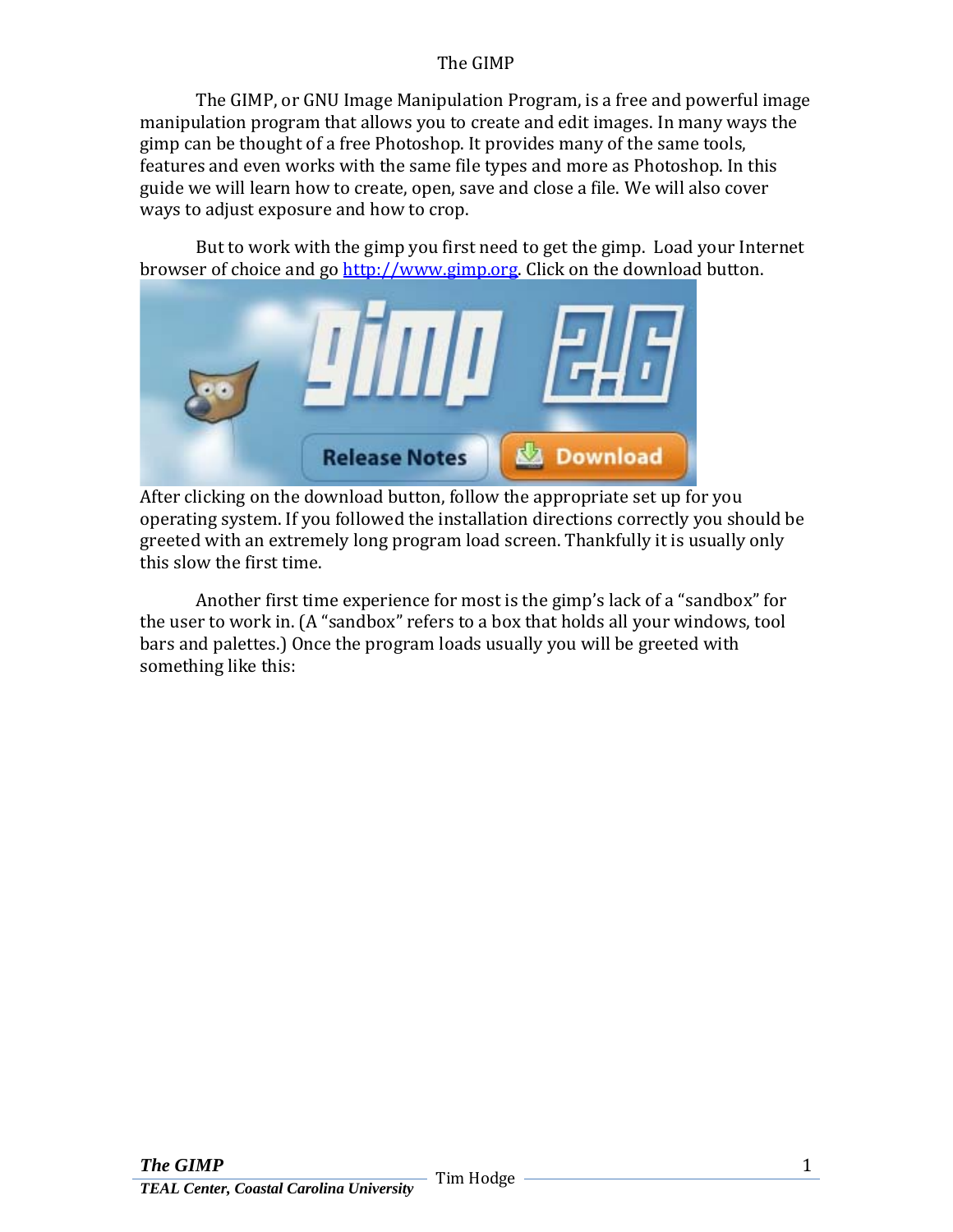## The GIMP

The GIMP, or GNU Image Manipulation Program, is a free and powerful image manipulation program that allows you to create and edit images. In many ways the gimp can be thought of a free Photoshop. It provides many of the same tools, features and even works with the same file types and more as Photoshop. In this guide we will learn how to create, open, save and close a file. We will also cover ways to adjust exposure and how to crop.

But to work with the gimp you first need to get the gimp. Load your Internet browser of choice and go [http://www.gimp.org](http://www.gimp.org/). Click on the download button.



After clicking on the download button, follow the appropriate set up for you operating system. If you followed the installation directions correctly you should be greeted with an extremely long program load screen. Thankfully it is usually only this slow the first time.

Another first time experience for most is the gimp's lack of a "sandbox" for the user to work in. (A "sandbox" refers to a box that holds all your windows, tool bars and palettes.) Once the program loads usually you will be greeted with something like this: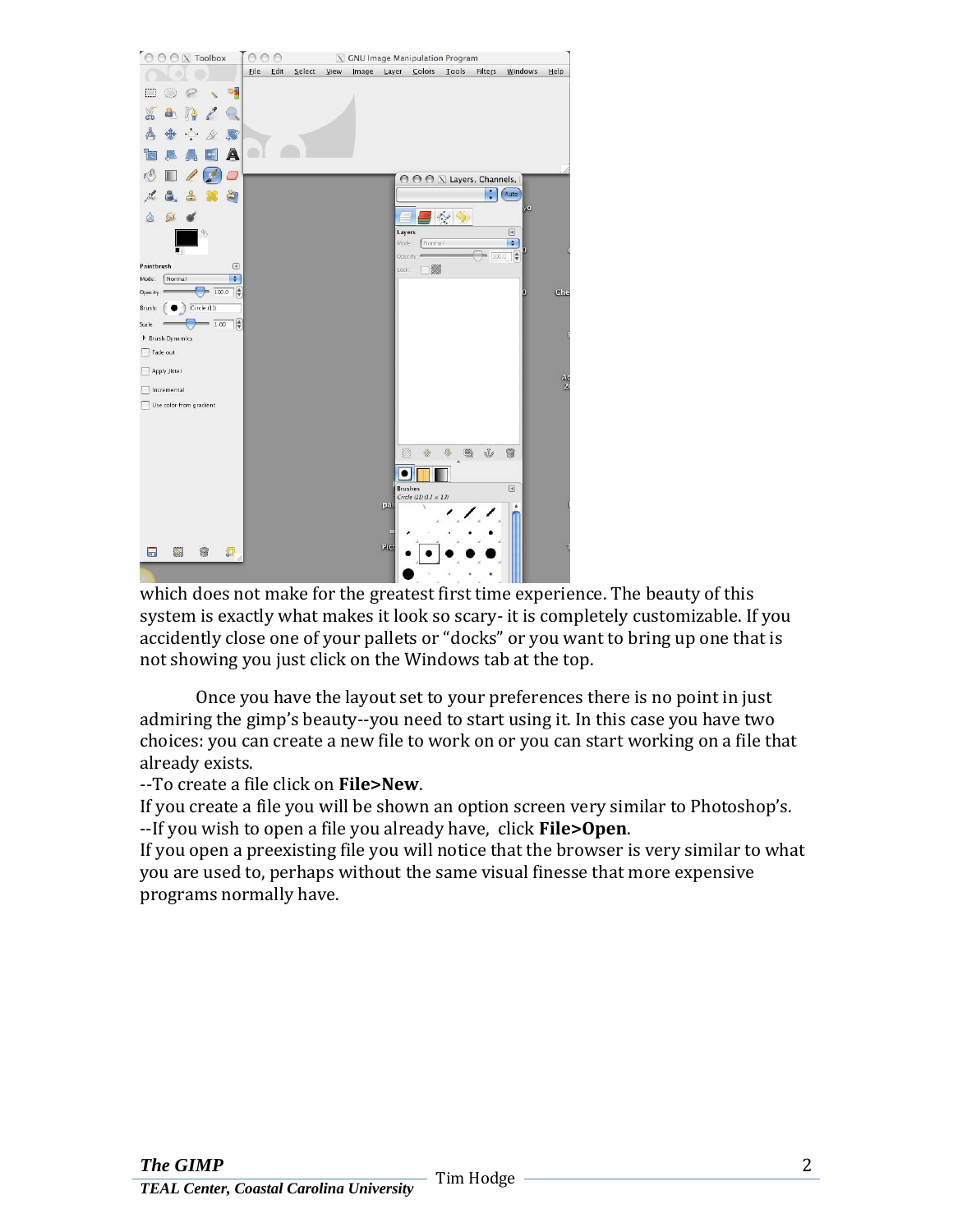| O O O X Toolbox         |                              | 00   | $\circ$ |        | $\mathbf{X}$ |       |                 | <b>GNU Image Manipulation Program</b>          |        |               |                                                                                                                                                                                                                                                                                                                                                                               |                 |
|-------------------------|------------------------------|------|---------|--------|--------------|-------|-----------------|------------------------------------------------|--------|---------------|-------------------------------------------------------------------------------------------------------------------------------------------------------------------------------------------------------------------------------------------------------------------------------------------------------------------------------------------------------------------------------|-----------------|
|                         |                              | Eile | $E$ dit | Select | View         | Image |                 | Layer Colors                                   | Tools  | Filters       | Windows                                                                                                                                                                                                                                                                                                                                                                       | Help            |
|                         | 吸量                           |      |         |        |              |       |                 |                                                |        |               |                                                                                                                                                                                                                                                                                                                                                                               |                 |
| à                       |                              |      |         |        |              |       |                 |                                                |        |               |                                                                                                                                                                                                                                                                                                                                                                               |                 |
| ß                       | 尽                            |      |         |        |              |       |                 |                                                |        |               |                                                                                                                                                                                                                                                                                                                                                                               |                 |
|                         | А                            |      |         |        |              |       |                 |                                                |        |               |                                                                                                                                                                                                                                                                                                                                                                               |                 |
|                         |                              |      |         |        |              |       |                 | O O O X Layers, Channels,                      |        |               |                                                                                                                                                                                                                                                                                                                                                                               |                 |
|                         | ă                            |      |         |        |              |       |                 |                                                |        | $\frac{1}{x}$ | Auto                                                                                                                                                                                                                                                                                                                                                                          |                 |
| كعاكم                   |                              |      |         |        |              |       |                 |                                                | $\sim$ |               | yo                                                                                                                                                                                                                                                                                                                                                                            |                 |
| $\mathcal{P}$           |                              |      |         |        |              |       | Layers<br>Mode: | Normal                                         |        |               | $\begin{tabular}{ c c } \hline \rule{0.3cm}{.04cm} \rule{0.3cm}{.04cm} \rule{0.3cm}{.04cm} \rule{0.3cm}{.04cm} \rule{0.3cm}{.04cm} \rule{0.3cm}{.04cm} \rule{0.3cm}{.04cm} \rule{0.3cm}{.04cm} \rule{0.3cm}{.04cm} \rule{0.3cm}{.04cm} \rule{0.3cm}{.04cm} \rule{0.3cm}{.04cm} \rule{0.3cm}{.04cm} \rule{0.3cm}{.04cm} \rule{0.3cm}{.04cm} \rule{0.3cm}{.0$<br>$\blacksquare$ |                 |
| 町<br>Paintbrush         | $\boxed{\blacktriangleleft}$ |      |         |        |              |       | Lock            | Opacity:<br>×                                  |        | 100.0         | $\frac{4}{7}$                                                                                                                                                                                                                                                                                                                                                                 |                 |
| Normal<br>Mode:         | F                            |      |         |        |              |       |                 |                                                |        |               |                                                                                                                                                                                                                                                                                                                                                                               |                 |
| Opacity:                | 100.0                        |      |         |        |              |       |                 |                                                |        |               | п                                                                                                                                                                                                                                                                                                                                                                             | Che             |
| Circle (11)<br>Brush:   |                              |      |         |        |              |       |                 |                                                |        |               |                                                                                                                                                                                                                                                                                                                                                                               |                 |
| $= 1.00$<br>Scale:      | $\frac{1}{2}$                |      |         |        |              |       |                 |                                                |        |               |                                                                                                                                                                                                                                                                                                                                                                               |                 |
| <b>D</b> Brush Dynamics |                              |      |         |        |              |       |                 |                                                |        |               |                                                                                                                                                                                                                                                                                                                                                                               |                 |
| Fade out                |                              |      |         |        |              |       |                 |                                                |        |               |                                                                                                                                                                                                                                                                                                                                                                               |                 |
| Apply Jitter            |                              |      |         |        |              |       |                 |                                                |        |               |                                                                                                                                                                                                                                                                                                                                                                               |                 |
| Incremental             |                              |      |         |        |              |       |                 |                                                |        |               |                                                                                                                                                                                                                                                                                                                                                                               | $\frac{40}{20}$ |
| Use color from gradient |                              |      |         |        |              |       |                 |                                                |        |               |                                                                                                                                                                                                                                                                                                                                                                               |                 |
|                         |                              |      |         |        |              |       |                 |                                                |        |               |                                                                                                                                                                                                                                                                                                                                                                               |                 |
|                         |                              |      |         |        |              |       |                 |                                                |        |               |                                                                                                                                                                                                                                                                                                                                                                               |                 |
|                         |                              |      |         |        |              |       |                 | $\frac{1}{2}$                                  | ß,     | J.            | 0                                                                                                                                                                                                                                                                                                                                                                             |                 |
|                         |                              |      |         |        |              |       |                 |                                                |        |               |                                                                                                                                                                                                                                                                                                                                                                               |                 |
|                         |                              |      |         |        |              |       |                 | <b>Brushes</b><br>Circle (11) (13 $\times$ 13) |        |               | $\textcolor{red}{\textcolor{blue}{\boxtimes}}$                                                                                                                                                                                                                                                                                                                                |                 |
|                         |                              |      |         |        |              |       | pai             |                                                |        |               | ۸                                                                                                                                                                                                                                                                                                                                                                             |                 |
|                         |                              |      |         |        |              |       |                 |                                                |        |               |                                                                                                                                                                                                                                                                                                                                                                               |                 |
|                         |                              |      |         |        |              |       |                 |                                                |        |               |                                                                                                                                                                                                                                                                                                                                                                               |                 |
| 8<br>۵<br>屇             | 頾                            |      |         |        |              |       | Rie             |                                                |        |               |                                                                                                                                                                                                                                                                                                                                                                               | u               |
|                         |                              |      |         |        |              |       |                 |                                                |        |               |                                                                                                                                                                                                                                                                                                                                                                               |                 |

which does not make for the greatest first time experience. The beauty of this system is exactly what makes it look so scary‐ it is completely customizable. If you accidently close one of your pallets or "docks" or you want to bring up one that is not showing you just click on the Windows tab at the top.

Once you have the layout set to your preferences there is no point in just admiring the gimp's beauty‐‐you need to start using it. In this case you have two choices: you can create a new file to work on or you can start working on a file that already exists.

## ‐‐To create a file click on **File>New**.

If you create a file you will be shown an option screen very similar to Photoshop's. ‐‐If you wish to open a file you already have, click **File>Open**.

If you open a preexisting file you will notice that the browser is very similar to what you are used to, perhaps without the same visual finesse that more expensive programs normally have.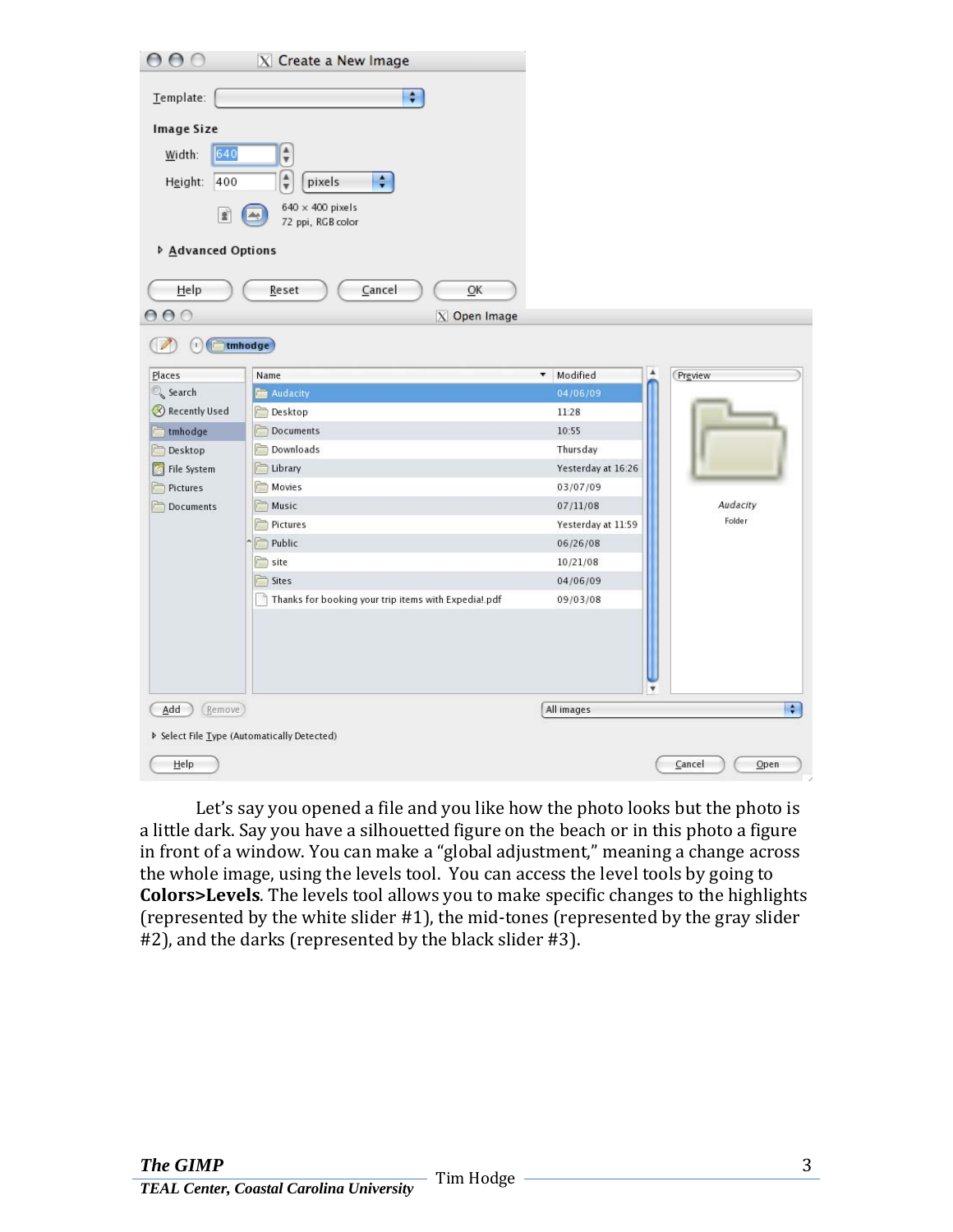| 000                                                        | $\overline{X}$ Create a New Image                                                      |                    |                |
|------------------------------------------------------------|----------------------------------------------------------------------------------------|--------------------|----------------|
| Template:                                                  | $\div$                                                                                 |                    |                |
| Image Size                                                 |                                                                                        |                    |                |
| 640<br>Width:<br>Height:<br>400                            | $\frac{\mathbf{A}}{\mathbf{v}}$<br>$\frac{\mathbf{A}}{\mathbf{v}}$<br>$\div$<br>pixels |                    |                |
| £                                                          | $640 \times 400$ pixels<br>72 ppi, RGB color                                           |                    |                |
| ▷ Advanced Options                                         |                                                                                        |                    |                |
| Help                                                       | Cancel<br>QK<br>Reset                                                                  |                    |                |
| 000                                                        | $X$ Open Image                                                                         |                    |                |
| $\left( \begin{array}{c} 1 \end{array} \right)$<br>17      | tmhodge)                                                                               |                    |                |
| Places                                                     | Name                                                                                   | Modified<br>▼.     | Preview        |
| Search                                                     | Audacity                                                                               | 04/06/09           |                |
| Recently Used                                              | Desktop                                                                                | 11:28              |                |
| $-$ tmhodge                                                | Documents                                                                              | 10:55              |                |
| Desktop                                                    | Downloads                                                                              | Thursday           |                |
| File System                                                | Library                                                                                | Yesterday at 16:26 |                |
| Pictures                                                   | Movies                                                                                 | 03/07/09           |                |
| Documents                                                  | Music                                                                                  | 07/11/08           | Audacity       |
|                                                            | Pictures                                                                               | Yesterday at 11:59 | Folder         |
|                                                            | Public                                                                                 | 06/26/08           |                |
|                                                            | site                                                                                   | 10/21/08           |                |
|                                                            | Sites                                                                                  | 04/06/09           |                |
|                                                            | Thanks for booking your trip items with Expedia!.pdf                                   | 09/03/08           |                |
| (Remove)<br>Add                                            |                                                                                        | ۷<br>All images    | $\ddot{r}$     |
| <b>D</b> Select File Type (Automatically Detected)<br>Help |                                                                                        |                    | Cancel<br>Open |

Let's say you opened a file and you like how the photo looks but the photo is a little dark. Say you have a silhouetted figure on the beach or in this photo a figure in front of a window. You can make a "global adjustment," meaning a change across the whole image, using the levels tool. You can access the level tools by going to **Colors>Levels**. The levels tool allows you to make specific changes to the highlights (represented by the white slider  $#1$ ), the mid-tones (represented by the gray slider #2), and the darks (represented by the black slider #3).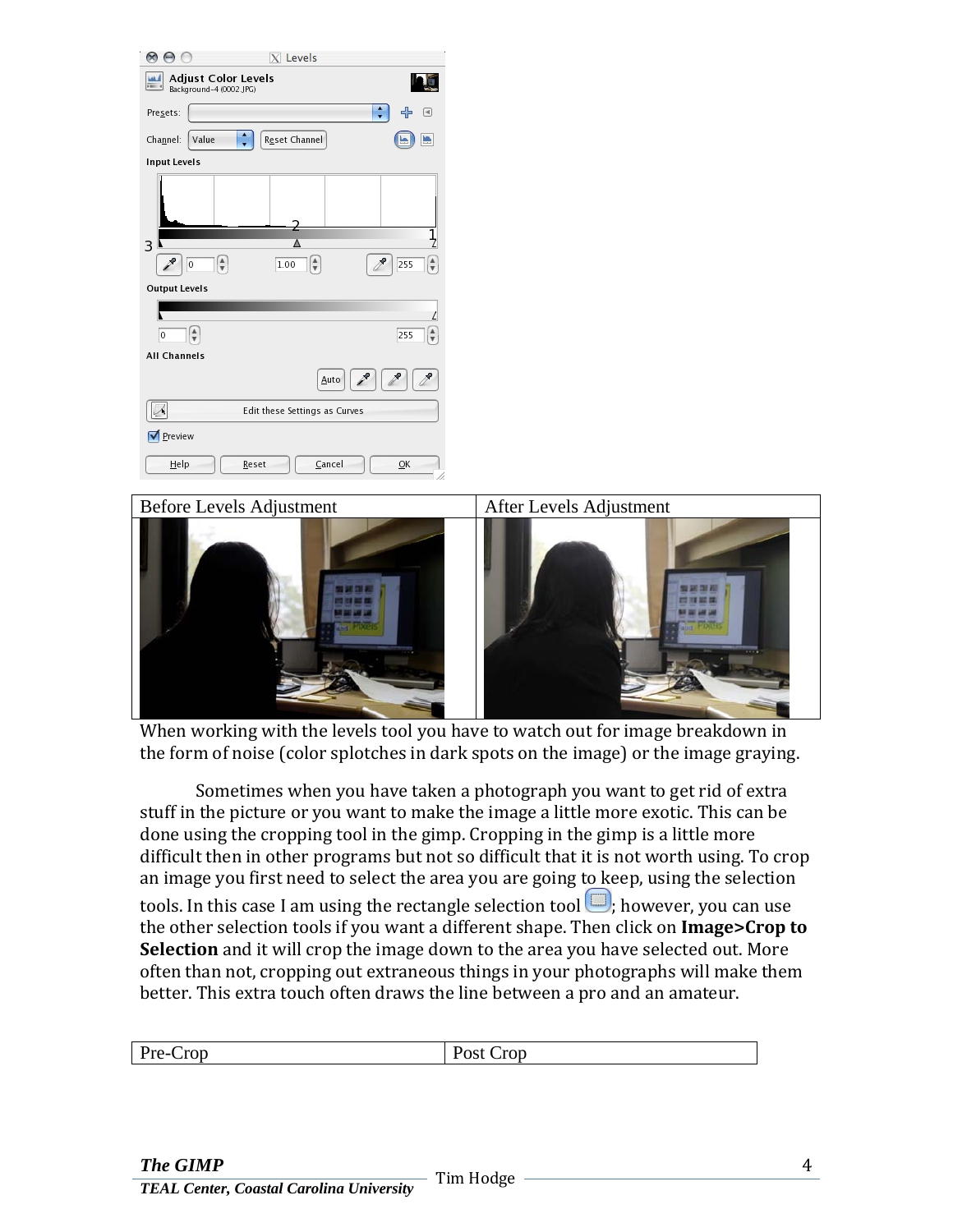

When working with the levels tool you have to watch out for image breakdown in the form of noise (color splotches in dark spots on the image) or the image graying.

 Sometimes when you have taken a photograph you want to get rid of extra stuff in the picture or you want to make the image a little more exotic. This can be done using the cropping tool in the gimp. Cropping in the gimp is a little more difficult then in other programs but not so difficult that it is not worth using. To crop an image you first need to select the area you are going to keep, using the selection tools. In this case I am using the rectangle selection tool  $\Box$ ; however, you can use the other selection tools if you want a different shape. Then click on **Image>Crop to Selection** and it will crop the image down to the area you have selected out. More often than not, cropping out extraneous things in your photographs will make them better. This extra touch often draws the line between a pro and an amateur.

| $\mathbf{D}_{\mathbf{r}\alpha}$<br>$C^{top}$<br>rop<br>-- -<br>$\overline{\phantom{a}}$ |
|-----------------------------------------------------------------------------------------|
|-----------------------------------------------------------------------------------------|